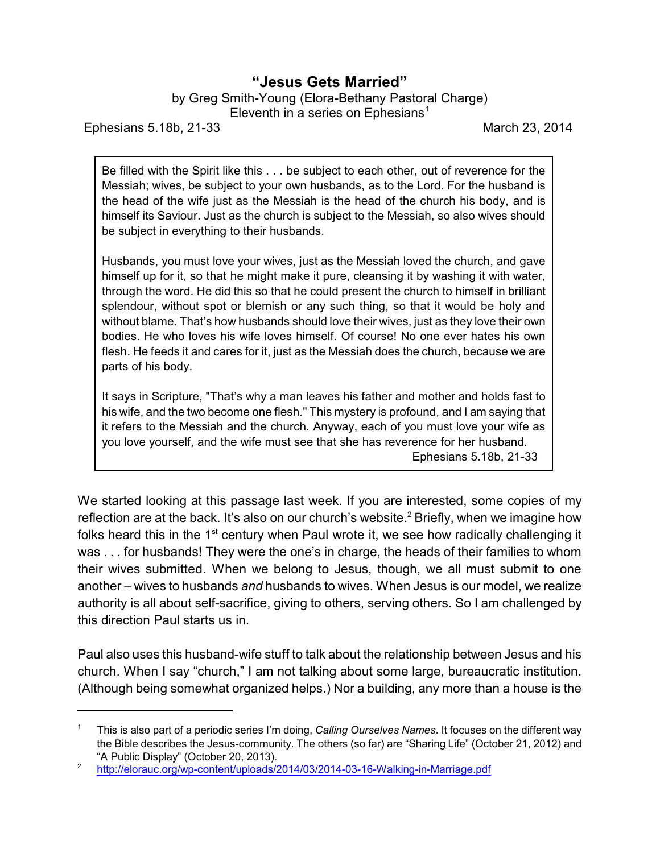## **"Jesus Gets Married"**

by Greg Smith-Young (Elora-Bethany Pastoral Charge)

Eleventh in a series on Ephesians<sup>1</sup>

Ephesians 5.18b, 21-33 March 23, 2014

Be filled with the Spirit like this . . . be subject to each other, out of reverence for the Messiah; wives, be subject to your own husbands, as to the Lord. For the husband is the head of the wife just as the Messiah is the head of the church his body, and is himself its Saviour. Just as the church is subject to the Messiah, so also wives should be subject in everything to their husbands.

Husbands, you must love your wives, just as the Messiah loved the church, and gave himself up for it, so that he might make it pure, cleansing it by washing it with water, through the word. He did this so that he could present the church to himself in brilliant splendour, without spot or blemish or any such thing, so that it would be holy and without blame. That's how husbands should love their wives, just as they love their own bodies. He who loves his wife loves himself. Of course! No one ever hates his own flesh. He feeds it and cares for it, just as the Messiah does the church, because we are parts of his body.

It says in Scripture, "That's why a man leaves his father and mother and holds fast to his wife, and the two become one flesh." This mystery is profound, and I am saying that it refers to the Messiah and the church. Anyway, each of you must love your wife as you love yourself, and the wife must see that she has reverence for her husband. Ephesians 5.18b, 21-33

We started looking at this passage last week. If you are interested, some copies of my reflection are at the back. It's also on our church's website.<sup>2</sup> Briefly, when we imagine how folks heard this in the 1<sup>st</sup> century when Paul wrote it, we see how radically challenging it was . . . for husbands! They were the one's in charge, the heads of their families to whom their wives submitted. When we belong to Jesus, though, we all must submit to one another – wives to husbands *and* husbands to wives. When Jesus is our model, we realize authority is all about self-sacrifice, giving to others, serving others. So I am challenged by this direction Paul starts us in.

Paul also uses this husband-wife stuff to talk about the relationship between Jesus and his church. When I say "church," I am not talking about some large, bureaucratic institution. (Although being somewhat organized helps.) Nor a building, any more than a house is the

<sup>1</sup> This is also part of a periodic series I'm doing, *Calling Ourselves Names*. It focuses on the different way the Bible describes the Jesus-community. The others (so far) are "Sharing Life" (October 21, 2012) and "A Public Display" (October 20, 2013).

<sup>2</sup> <http://elorauc.org/wp-content/uploads/2014/03/2014-03-16-Walking-in-Marriage.pdf>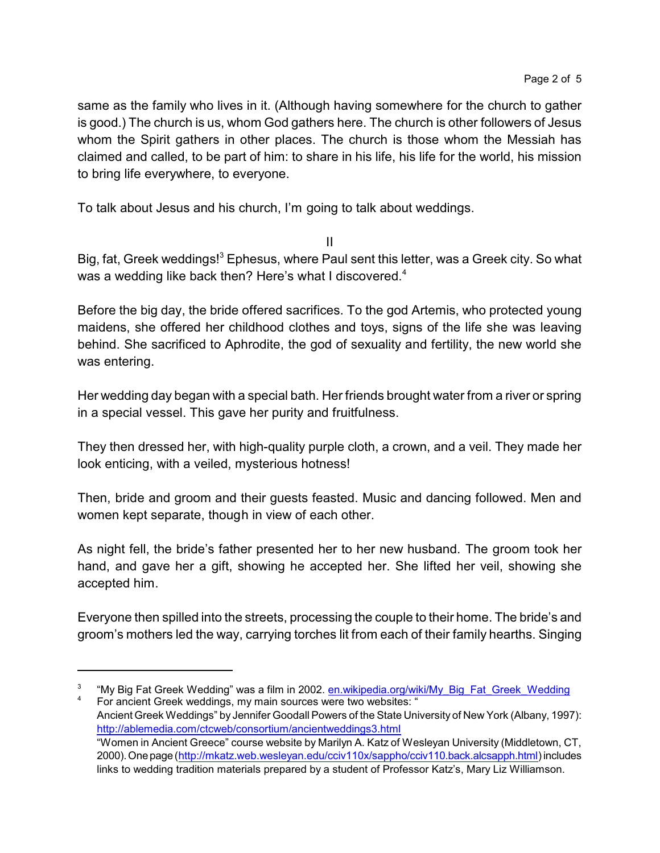same as the family who lives in it. (Although having somewhere for the church to gather is good.) The church is us, whom God gathers here. The church is other followers of Jesus whom the Spirit gathers in other places. The church is those whom the Messiah has claimed and called, to be part of him: to share in his life, his life for the world, his mission to bring life everywhere, to everyone.

To talk about Jesus and his church, I'm going to talk about weddings.

II

Big, fat, Greek weddings!<sup>3</sup> Ephesus, where Paul sent this letter, was a Greek city. So what was a wedding like back then? Here's what I discovered.<sup>4</sup>

Before the big day, the bride offered sacrifices. To the god Artemis, who protected young maidens, she offered her childhood clothes and toys, signs of the life she was leaving behind. She sacrificed to Aphrodite, the god of sexuality and fertility, the new world she was entering.

Her wedding day began with a special bath. Her friends brought water from a river or spring in a special vessel. This gave her purity and fruitfulness.

They then dressed her, with high-quality purple cloth, a crown, and a veil. They made her look enticing, with a veiled, mysterious hotness!

Then, bride and groom and their guests feasted. Music and dancing followed. Men and women kept separate, though in view of each other.

As night fell, the bride's father presented her to her new husband. The groom took her hand, and gave her a gift, showing he accepted her. She lifted her veil, showing she accepted him.

Everyone then spilled into the streets, processing the couple to their home. The bride's and groom's mothers led the way, carrying torches lit from each of their family hearths. Singing

For ancient Greek weddings, my main sources were two websites: " Ancient Greek Weddings" by Jennifer Goodall Powers of the State University of New York (Albany, 1997): <http://ablemedia.com/ctcweb/consortium/ancientweddings3.html> "Women in Ancient Greece" course website by Marilyn A. Katz of Wesleyan University (Middletown, CT, 2000). One page [\(http://mkatz.web.wesleyan.edu/cciv110x/sappho/cciv110.back.alcsapph.html](http://mkatz.web.wesleyan.edu/cciv110x/sappho/cciv110.back.alcsapph.html)) includes links to wedding tradition materials prepared by a student of Professor Katz's, Mary Liz Williamson.

<sup>3</sup> "My Big Fat Greek Wedding" was a film in 2002. [en.wikipedia.org/wiki/My\\_Big\\_Fat\\_Greek\\_Wedding](http://en.wikipedia.org/wiki/My_Big_Fat_Greek_Wedding)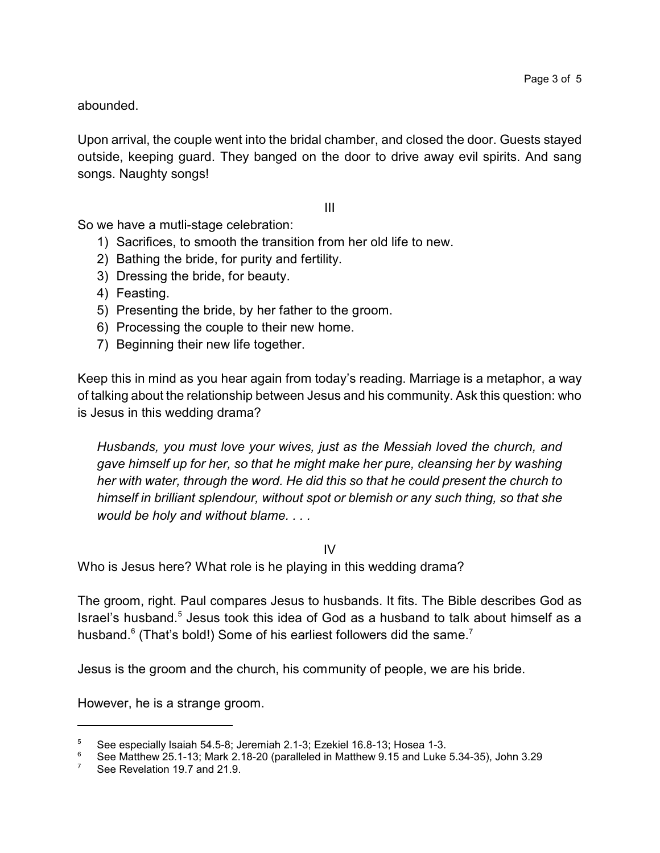abounded.

Upon arrival, the couple went into the bridal chamber, and closed the door. Guests stayed outside, keeping guard. They banged on the door to drive away evil spirits. And sang songs. Naughty songs!

III

So we have a mutli-stage celebration:

- 1) Sacrifices, to smooth the transition from her old life to new.
- 2) Bathing the bride, for purity and fertility.
- 3) Dressing the bride, for beauty.
- 4) Feasting.
- 5) Presenting the bride, by her father to the groom.
- 6) Processing the couple to their new home.
- 7) Beginning their new life together.

Keep this in mind as you hear again from today's reading. Marriage is a metaphor, a way of talking about the relationship between Jesus and his community. Ask this question: who is Jesus in this wedding drama?

*Husbands, you must love your wives, just as the Messiah loved the church, and gave himself up for her, so that he might make her pure, cleansing her by washing her with water, through the word. He did this so that he could present the church to himself in brilliant splendour, without spot or blemish or any such thing, so that she would be holy and without blame. . . .*

IV

Who is Jesus here? What role is he playing in this wedding drama?

The groom, right. Paul compares Jesus to husbands. It fits. The Bible describes God as Israel's husband.<sup>5</sup> Jesus took this idea of God as a husband to talk about himself as a husband. $^6$  (That's bold!) Some of his earliest followers did the same. $^7$ 

Jesus is the groom and the church, his community of people, we are his bride.

However, he is a strange groom.

<sup>5</sup> See especially Isaiah 54.5-8; Jeremiah 2.1-3; Ezekiel 16.8-13; Hosea 1-3.

<sup>&</sup>lt;sup>6</sup> See Matthew 25.1-13; Mark 2.18-20 (paralleled in Matthew 9.15 and Luke 5.34-35), John 3.29<br><sup>7</sup> See Bovelation 19.7 and 21.9

See Revelation 19.7 and 21.9.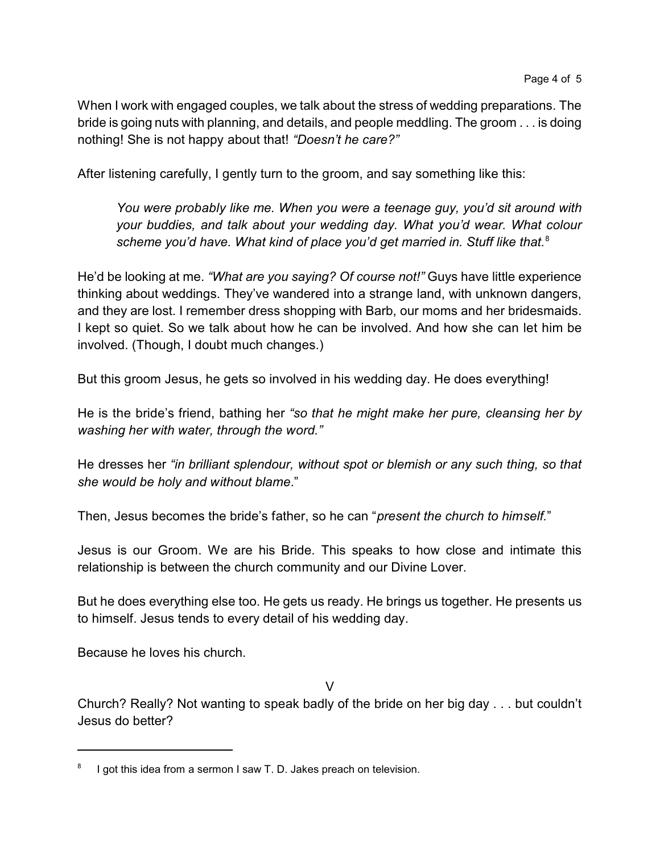When I work with engaged couples, we talk about the stress of wedding preparations. The bride is going nuts with planning, and details, and people meddling. The groom . . . is doing nothing! She is not happy about that! *"Doesn't he care?"*

After listening carefully, I gently turn to the groom, and say something like this:

*You were probably like me. When you were a teenage guy, you'd sit around with your buddies, and talk about your wedding day. What you'd wear. What colour scheme you'd have. What kind of place you'd get married in. Stuff like that.*<sup>8</sup>

He'd be looking at me. *"What are you saying? Of course not!"* Guys have little experience thinking about weddings. They've wandered into a strange land, with unknown dangers, and they are lost. I remember dress shopping with Barb, our moms and her bridesmaids. I kept so quiet. So we talk about how he can be involved. And how she can let him be involved. (Though, I doubt much changes.)

But this groom Jesus, he gets so involved in his wedding day. He does everything!

He is the bride's friend, bathing her *"so that he might make her pure, cleansing her by washing her with water, through the word."*

He dresses her *"in brilliant splendour, without spot or blemish or any such thing, so that she would be holy and without blame*."

Then, Jesus becomes the bride's father, so he can "*present the church to himself.*"

Jesus is our Groom. We are his Bride. This speaks to how close and intimate this relationship is between the church community and our Divine Lover.

But he does everything else too. He gets us ready. He brings us together. He presents us to himself. Jesus tends to every detail of his wedding day.

Because he loves his church.

V

Church? Really? Not wanting to speak badly of the bride on her big day . . . but couldn't Jesus do better?

<sup>8</sup> I got this idea from a sermon I saw T. D. Jakes preach on television.